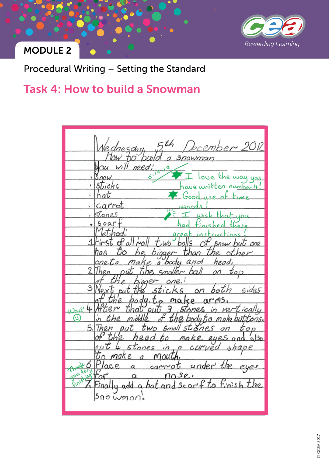

Procedural Writing – Setting the Standard

# Task 4: How to build a Snowman

Еth er 2014  $200d$ Snown need; ucu ï bicks umber 1 head 2  $5r$ З sides ``  $\sim$ n 4 بسمى Œ 5 lso.  $\circ$ *stones* Р c.e  $400$  $n0se$ tinish the  $S<sub>c</sub>$ Ťο add hot and  $\alpha$  $|SnoWman$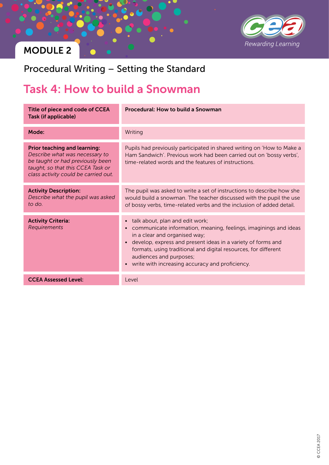

Procedural Writing – Setting the Standard

# Task 4: How to build a Snowman

| Title of piece and code of CCEA<br><b>Task (if applicable)</b>                                                                                                                         | Procedural: How to build a Snowman                                                                                                                                                                                                                                                                                                                                                             |
|----------------------------------------------------------------------------------------------------------------------------------------------------------------------------------------|------------------------------------------------------------------------------------------------------------------------------------------------------------------------------------------------------------------------------------------------------------------------------------------------------------------------------------------------------------------------------------------------|
| Mode:                                                                                                                                                                                  | Writing                                                                                                                                                                                                                                                                                                                                                                                        |
| <b>Prior teaching and learning:</b><br>Describe what was necessary to<br>be taught or had previously been<br>taught, so that this CCEA Task or<br>class activity could be carried out. | Pupils had previously participated in shared writing on 'How to Make a<br>Ham Sandwich'. Previous work had been carried out on 'bossy verbs',<br>time-related words and the features of instructions.                                                                                                                                                                                          |
| <b>Activity Description:</b><br>Describe what the pupil was asked<br>to do.                                                                                                            | The pupil was asked to write a set of instructions to describe how she<br>would build a snowman. The teacher discussed with the pupil the use<br>of bossy verbs, time-related verbs and the inclusion of added detail.                                                                                                                                                                         |
| <b>Activity Criteria:</b><br>Requirements                                                                                                                                              | talk about, plan and edit work;<br>$\bullet$<br>communicate information, meaning, feelings, imaginings and ideas<br>$\bullet$<br>in a clear and organised way;<br>develop, express and present ideas in a variety of forms and<br>$\bullet$<br>formats, using traditional and digital resources, for different<br>audiences and purposes;<br>• write with increasing accuracy and proficiency. |
| <b>CCEA Assessed Level:</b>                                                                                                                                                            | Level                                                                                                                                                                                                                                                                                                                                                                                          |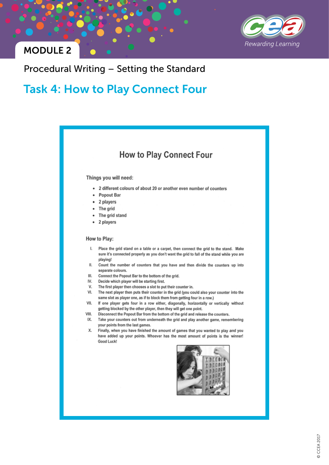

### Procedural Writing - Setting the Standard

### **Task 4: How to Play Connect Four**

### **How to Play Connect Four**

#### Things you will need:

- 2 different colours of about 20 or another even number of counters
- Popout Bar
- 2 players
- The grid
- The grid stand
- 2 players

#### How to Play:

- ı. Place the grid stand on a table or a carpet, then connect the grid to the stand. Make sure it's connected properly as you don't want the grid to fall of the stand while you are playing!
- Ш. Count the number of counters that you have and then divide the counters up into separate colours.
- III. Connect the Popout Bar to the bottom of the grid.
- IV. Decide which player will be starting first.
- V. The first player then chooses a slot to put their counter in.
- VI. The next player then puts their counter in the grid (you could also your counter into the same slot as player one, as if to block them from getting four in a row.)
- VII. If one player gets four in a row either, diagonally, horizontally or vertically without getting blocked by the other player, then they will get one point.
- VIII. Disconnect the Popout Bar from the bottom of the grid and release the counters.
- IX. Take your counters out from underneath the grid and play another game, remembering your points from the last games.
- X. Finally, when you have finished the amount of games that you wanted to play and you have added up your points. Whoever has the most amount of points is the winner! Good Luck!

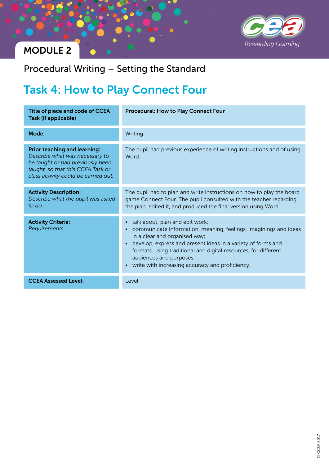

Procedural Writing – Setting the Standard

# Task 4: How to Play Connect Four

| Title of piece and code of CCEA<br><b>Task (if applicable)</b>                                                                                                                         | <b>Procedural: How to Play Connect Four</b>                                                                                                                                                                                                                                                                                                                   |
|----------------------------------------------------------------------------------------------------------------------------------------------------------------------------------------|---------------------------------------------------------------------------------------------------------------------------------------------------------------------------------------------------------------------------------------------------------------------------------------------------------------------------------------------------------------|
| Mode:                                                                                                                                                                                  | Writing                                                                                                                                                                                                                                                                                                                                                       |
| <b>Prior teaching and learning:</b><br>Describe what was necessary to<br>be taught or had previously been<br>taught, so that this CCEA Task or<br>class activity could be carried out. | The pupil had previous experience of writing instructions and of using<br>Word.                                                                                                                                                                                                                                                                               |
| <b>Activity Description:</b><br>Describe what the pupil was asked<br>to do.                                                                                                            | The pupil had to plan and write instructions on how to play the board<br>game Connect Four. The pupil consulted with the teacher regarding<br>the plan, edited it, and produced the final version using Word.                                                                                                                                                 |
| <b>Activity Criteria:</b><br>Requirements                                                                                                                                              | • talk about, plan and edit work;<br>• communicate information, meaning, feelings, imaginings and ideas<br>in a clear and organised way;<br>• develop, express and present ideas in a variety of forms and<br>formats, using traditional and digital resources, for different<br>audiences and purposes;<br>• write with increasing accuracy and proficiency. |
| <b>CCEA Assessed Level:</b>                                                                                                                                                            | Level                                                                                                                                                                                                                                                                                                                                                         |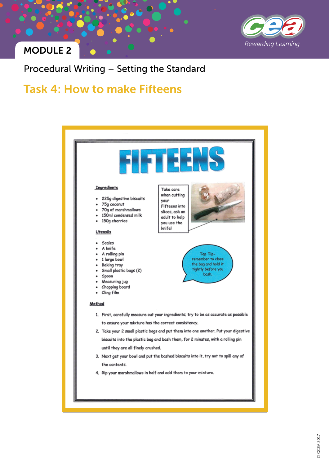

### Procedural Writing – Setting the Standard

### Task 4: How to make Fifteens